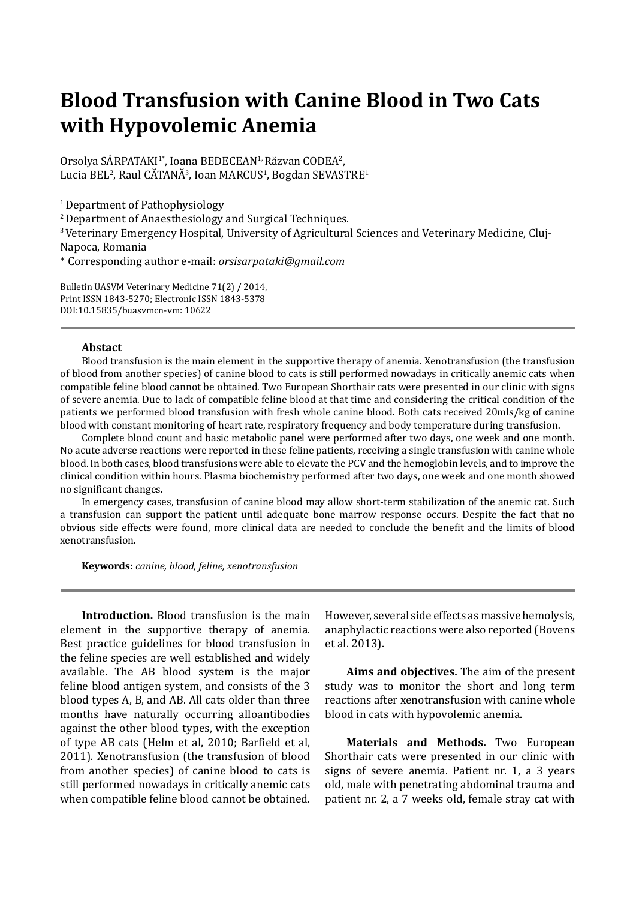## **Blood Transfusion with Canine Blood in Two Cats with Hypovolemic Anemia**

Orsolya SÁRPATAKI<sup>1\*</sup>, Ioana BEDECEAN<sup>1,</sup> Răzvan CODEA<sup>2</sup>, Lucia BEL², Raul CĂTANĂ¾, Ioan MARCUS½, Bogdan SEVASTRE<del>'</del>

<sup>1</sup> Department of Pathophysiology

2 Department of Anaesthesiology and Surgical Techniques.

3 Veterinary Emergency Hospital, University of Agricultural Sciences and Veterinary Medicine, Cluj-Napoca, Romania

\* Corresponding author e-mail: *orsisarpataki@gmail.com*

Bulletin UASVM Veterinary Medicine 71(2) / 2014, Print ISSN 1843-5270; Electronic ISSN 1843-5378 DOI:10.15835/buasvmcn-vm: 10622

## **Abstact**

Blood transfusion is the main element in the supportive therapy of anemia. Xenotransfusion (the transfusion of blood from another species) of canine blood to cats is still performed nowadays in critically anemic cats when compatible feline blood cannot be obtained. Two European Shorthair cats were presented in our clinic with signs of severe anemia. Due to lack of compatible feline blood at that time and considering the critical condition of the patients we performed blood transfusion with fresh whole canine blood. Both cats received 20mls/kg of canine blood with constant monitoring of heart rate, respiratory frequency and body temperature during transfusion.

Complete blood count and basic metabolic panel were performed after two days, one week and one month. No acute adverse reactions were reported in these feline patients, receiving a single transfusion with canine whole blood. In both cases, blood transfusions were able to elevate the PCV and the hemoglobin levels, and to improve the clinical condition within hours. Plasma biochemistry performed after two days, one week and one month showed no significant changes.

In emergency cases, transfusion of canine blood may allow short-term stabilization of the anemic cat. Such a transfusion can support the patient until adequate bone marrow response occurs. Despite the fact that no obvious side effects were found, more clinical data are needed to conclude the benefit and the limits of blood xenotransfusion.

**Keywords:** *canine, blood, feline, xenotransfusion*

**Introduction.** Blood transfusion is the main element in the supportive therapy of anemia. Best practice guidelines for blood transfusion in the feline species are well established and widely available. The AB blood system is the major feline blood antigen system, and consists of the 3 blood types A, B, and AB. All cats older than three months have naturally occurring alloantibodies against the other blood types, with the exception of type AB cats (Helm et al. 2010: Barfield et al. 2011). Xenotransfusion (the transfusion of blood from another species) of canine blood to cats is still performed nowadays in critically anemic cats when compatible feline blood cannot be obtained. However, several side effects as massive hemolysis, anaphylactic reactions were also reported (Bovens et al. 2013).

**Aims and objectives.** The aim of the present study was to monitor the short and long term reactions after xenotransfusion with canine whole blood in cats with hypovolemic anemia.

**Materials and Methods.** Two European Shorthair cats were presented in our clinic with signs of severe anemia. Patient nr. 1, a 3 years old, male with penetrating abdominal trauma and patient nr. 2, a 7 weeks old, female stray cat with